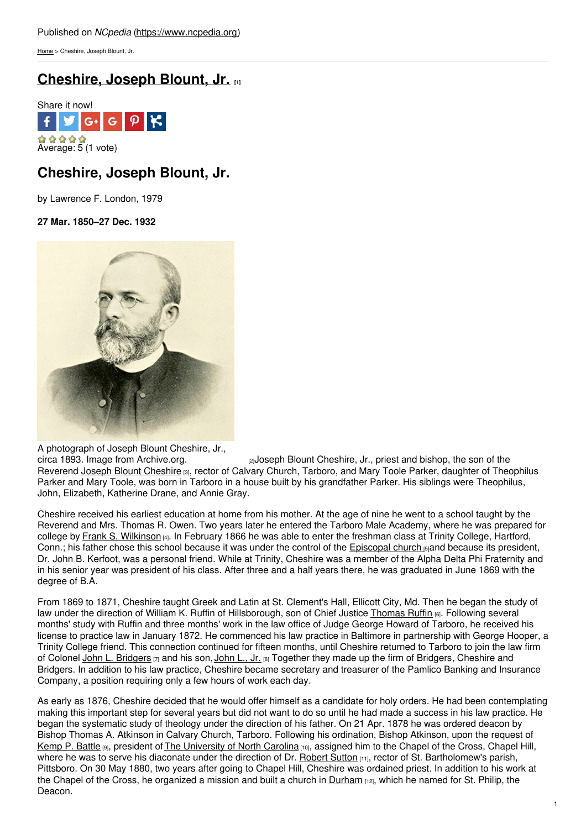[Home](https://www.ncpedia.org/) > Cheshire, Joseph Blount, Jr.

## **[Cheshire,](https://www.ncpedia.org/biography/cheshire-joseph-blount-jr) Joseph Blount, Jr. [1]**



# **Cheshire, Joseph Blount, Jr.**

by Lawrence F. London, 1979

**27 Mar. 1850–27 Dec. 1932**



A photograph of Joseph Blount Cheshire, Jr., circa 1893. Image from Archive.org.

<sub>[2]</sub>Joseph Blount Cheshire, Jr., priest and bishop, the son of the Reverend Joseph Blount [Cheshire](https://www.ncpedia.org/biography/cheshire-joseph-blount) [3], rector of Calvary Church, Tarboro, and Mary Toole Parker, daughter of Theophilus Parker and Mary Toole, was born in Tarboro in a house built by his grandfather Parker. His siblings were Theophilus, John, Elizabeth, Katherine Drane, and Annie Gray.

Cheshire received his earliest education at home from his mother. At the age of nine he went to a school taught by the Reverend and Mrs. Thomas R. Owen. Two years later he entered the Tarboro Male Academy, where he was prepared for college by Frank S. [Wilkinson](https://www.ncpedia.org/biography/wilkinson-frank-smith) [4]. In February 1866 he was able to enter the freshman class at Trinity College, Hartford, Conn.; his father chose this school because it was under the control of the [Episcopal](https://www.ncpedia.org/episcopal-church) church **[5]and because its president**, Dr. John B. Kerfoot, was a personal friend. While at Trinity, Cheshire was a member of the Alpha Delta Phi Fraternity and in his senior year was president of his class. After three and a half years there, he was graduated in June 1869 with the degree of B.A.

From 1869 to 1871, Cheshire taught Greek and Latin at St. Clement's Hall, Ellicott City, Md. Then he began the study of law under the direction of William K. Ruffin of Hillsborough, son of Chief Justice [Thomas](https://www.ncpedia.org/biography/ruffin-thomas-0) Ruffin [6]. Following several months' study with Ruffin and three months' work in the law office of Judge George Howard of Tarboro, he received his license to practice law in January 1872. He commenced his law practice in Baltimore in partnership with George Hooper, a Trinity College friend. This connection continued for fifteen months, until Cheshire returned to Tarboro to join the law firm of Colonel John L. [Bridgers](https://www.ncpedia.org/biography/bridgers-john-luther) [7] and his son, [John](https://www.ncpedia.org/biography/bridgers-john-luther-jr) L., Jr. [8] Together they made up the firm of Bridgers, Cheshire and Bridgers. In addition to his law practice, Cheshire became secretary and treasurer of the Pamlico Banking and Insurance Company, a position requiring only a few hours of work each day.

As early as 1876, Cheshire decided that he would offer himself as a candidate for holy orders. He had been contemplating making this important step for several years but did not want to do so until he had made a success in his law practice. He began the systematic study of theology under the direction of his father. On 21 Apr. 1878 he was ordered deacon by Bishop Thomas A. Atkinson in Calvary Church, Tarboro. Following his ordination, Bishop Atkinson, upon the request of [Kemp](https://www.ncpedia.org/biography/battle-kemp-plummer) P. Battle [9], president of The [University](https://www.ncpedia.org/university-north-carolina-chapel-hi) of North Carolina [10], assigned him to the Chapel of the Cross, Chapel Hill, where he was to serve his diaconate under the direction of Dr. [Robert](https://www.ncpedia.org/biography/sutton-robert-bean) Sutton [11], rector of St. Bartholomew's parish, Pittsboro. On 30 May 1880, two years after going to Chapel Hill, Cheshire was ordained priest. In addition to his work at the Chapel of the Cross, he organized a mission and built a church in [Durham](https://www.ncpedia.org/geography/durham-city) [12], which he named for St. Philip, the Deacon.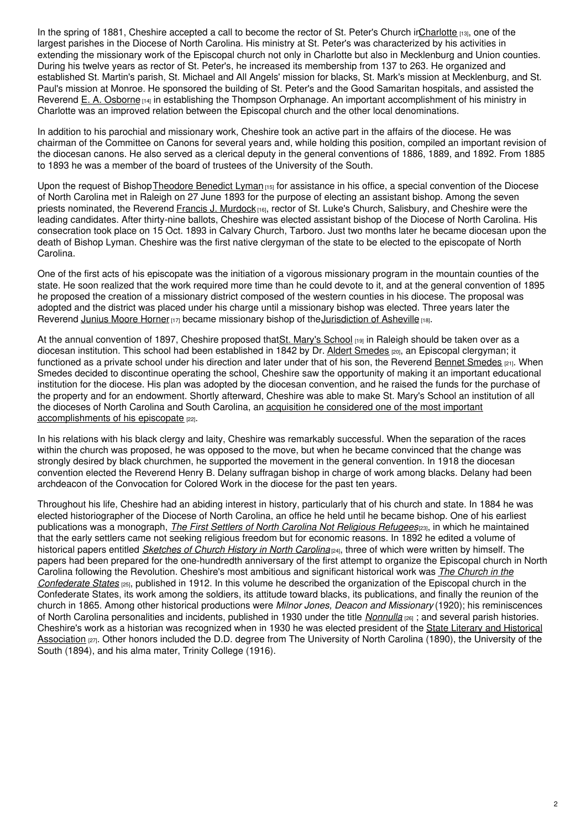In the spring of 1881, Cheshire accepted a call to become the rector of St. Peter's Church i[nCharlotte](https://www.ncpedia.org/charlotte) [13], one of the largest parishes in the Diocese of North Carolina. His ministry at St. Peter's was characterized by his activities in extending the missionary work of the Episcopal church not only in Charlotte but also in Mecklenburg and Union counties. During his twelve years as rector of St. Peter's, he increased its membership from 137 to 263. He organized and established St. Martin's parish, St. Michael and All Angels' mission for blacks, St. Mark's mission at Mecklenburg, and St. Paul's mission at Monroe. He sponsored the building of St. Peter's and the Good Samaritan hospitals, and assisted the Reverend E. A. [Osborne](https://www.ncpedia.org/biography/osborne-edwin-augustus)  $[14]$  in establishing the Thompson Orphanage. An important accomplishment of his ministry in Charlotte was an improved relation between the Episcopal church and the other local denominations.

In addition to his parochial and missionary work, Cheshire took an active part in the affairs of the diocese. He was chairman of the Committee on Canons for several years and, while holding this position, compiled an important revision of the diocesan canons. He also served as a clerical deputy in the general conventions of 1886, 1889, and 1892. From 1885 to 1893 he was a member of the board of trustees of the University of the South.

Upon the request of Bishop Theodore Benedict Lyman [15] for assistance in his office, a special convention of the Diocese of North Carolina met in Raleigh on 27 June 1893 for the purpose of electing an assistant bishop. Among the seven priests nominated, the Reverend Francis J. [Murdock](https://www.ncpedia.org/biography/murdoch-francis-johnstone) [16], rector of St. Luke's Church, Salisbury, and Cheshire were the leading candidates. After thirty-nine ballots, Cheshire was elected assistant bishop of the Diocese of North Carolina. His consecration took place on 15 Oct. 1893 in Calvary Church, Tarboro. Just two months later he became diocesan upon the death of Bishop Lyman. Cheshire was the first native clergyman of the state to be elected to the episcopate of North Carolina.

One of the first acts of his episcopate was the initiation of a vigorous missionary program in the mountain counties of the state. He soon realized that the work required more time than he could devote to it, and at the general convention of 1895 he proposed the creation of a missionary district composed of the western counties in his diocese. The proposal was adopted and the district was placed under his charge until a missionary bishop was elected. Three years later the Reverend Junius Moore [Horner](https://www.ncpedia.org/biography/horner-junius-moore) [17] became missionary bishop of the [Jurisdiction](https://www.ncpedia.org/missionary-district-asheville) of Asheville [18].

At the annual convention of 1897, Cheshire proposed thatSt. Mary's [School](https://www.ncpedia.org/saint-marys-school) [19] in Raleigh should be taken over as a diocesan institution. This school had been established in 1842 by Dr. Aldert [Smedes](https://www.ncpedia.org/biography/smedes-albert) [20], an Episcopal clergyman; it functioned as a private school under his direction and later under that of his son, the Reverend Bennet [Smedes](https://www.ncpedia.org/biography/smedes-bennett) [21]. When Smedes decided to discontinue operating the school, Cheshire saw the opportunity of making it an important educational institution for the diocese. His plan was adopted by the diocesan convention, and he raised the funds for the purchase of the property and for an endowment. Shortly afterward, Cheshire was able to make St. Mary's School an institution of all the dioceses of North Carolina and South Carolina, an acquisition he considered one of the most important [accomplishments](http://digital.ncdcr.gov/cdm/ref/collection/p249901coll22/id/210377) of his episcopate [22].

In his relations with his black clergy and laity, Cheshire was remarkably successful. When the separation of the races within the church was proposed, he was opposed to the move, but when he became convinced that the change was strongly desired by black churchmen, he supported the movement in the general convention. In 1918 the diocesan convention elected the Reverend Henry B. Delany suffragan bishop in charge of work among blacks. Delany had been archdeacon of the Convocation for Colored Work in the diocese for the past ten years.

Throughout his life, Cheshire had an abiding interest in history, particularly that of his church and state. In 1884 he was elected historiographer of the Diocese of North Carolina, an office he held until he became bishop. One of his earliest publications was a monograph, *The First Settlers of North Carolina Not [Religious](http://digital.ncdcr.gov/cdm/ref/collection/p249901coll37/id/14127) Refugees*[23], in which he maintained that the early settlers came not seeking religious freedom but for economic reasons. In 1892 he edited a volume of historical papers entitled *[Sketches](https://archive.org/details/sketcheschurchh00churgoog) of Church History in North Carolina*[24], three of which were written by himself. The papers had been prepared for the one-hundredth anniversary of the first attempt to organize the Episcopal church in North Carolina following the Revolution. Cheshire's most ambitious and significant historical work was *The Church in the [Confederate](https://archive.org/details/churchinconfed00ches) States* [25], published in 1912. In this volume he described the organization of the Episcopal church in the Confederate States, its work among the soldiers, its attitude toward blacks, its publications, and finally the reunion of the church in 1865. Among other historical productions were *Milnor Jones, Deacon and Missionary* (1920); his reminiscences of North Carolina personalities and incidents, published in 1930 under the title *[Nonnulla](http://books.google.com/books?id=f0RNAAAAYAAJ&q=Nonnulla+cheshire&hl=en&sa=X&ei=t8lRUe2kNYmy9gShu4DwCA&ved=0CC0Q6AEwAA)* [26] ; and several parish histories. Cheshire's work as a historian was recognized when in 1930 he was elected president of the State Literary and Historical [Association](https://www.ncpedia.org/literary-and-historical-association) [27]. Other honors included the D.D. degree from The University of North Carolina (1890), the University of the South (1894), and his alma mater, Trinity College (1916).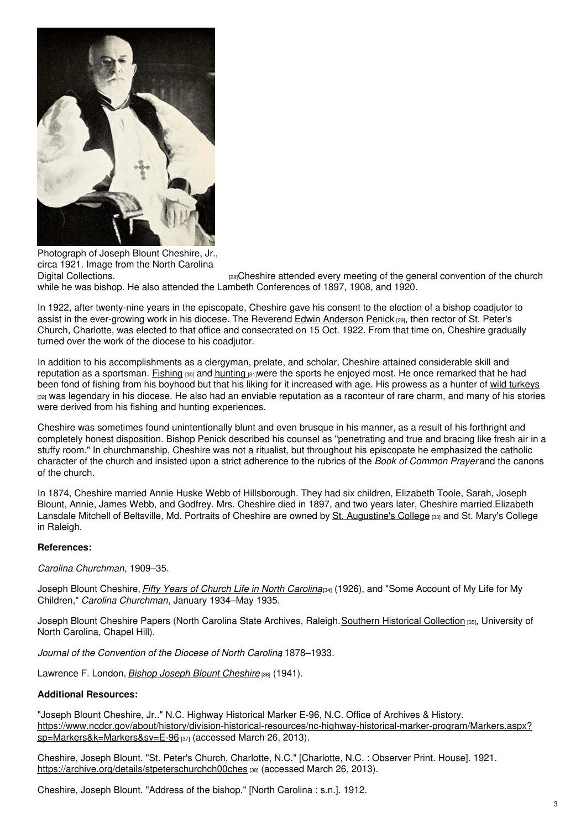

Photograph of Joseph Blount Cheshire, Jr., circa 1921. Image from the North Carolina

Digital [Collections.](http://digital.ncdcr.gov/cdm/ref/collection/p249901coll37/id/16767) **Exagger 28** and the general convention of the church product the church while he was bishop. He also attended the Lambeth Conferences of 1897, 1908, and 1920.

In 1922, after twenty-nine years in the episcopate, Cheshire gave his consent to the election of a bishop coadjutor to assist in the ever-growing work in his diocese. The Reverend Edwin [Anderson](https://www.ncpedia.org/biography/penick-edwin-anderson) Penick [29], then rector of St. Peter's Church, Charlotte, was elected to that office and consecrated on 15 Oct. 1922. From that time on, Cheshire gradually turned over the work of the diocese to his coadjutor.

In addition to his accomplishments as a clergyman, prelate, and scholar, Cheshire attained considerable skill and reputation as a sportsman. [Fishing](https://www.ncpedia.org/fishing-recreational)  $130$  and [hunting](https://www.ncpedia.org/hunting)  $131$ were the sports he enjoyed most. He once remarked that he had been fond of fishing from his boyhood but that his liking for it increased with age. His prowess as a hunter of wild [turkeys](https://www.ncpedia.org/eastern-wild-turkey-nc-wins) <sup>[32]</sup> was legendary in his diocese. He also had an enviable reputation as a raconteur of rare charm, and many of his stories were derived from his fishing and hunting experiences.

Cheshire was sometimes found unintentionally blunt and even brusque in his manner, as a result of his forthright and completely honest disposition. Bishop Penick described his counsel as "penetrating and true and bracing like fresh air in a stuffy room." In churchmanship, Cheshire was not a ritualist, but throughout his episcopate he emphasized the catholic character of the church and insisted upon a strict adherence to the rubrics of the *Book of Common Prayer* and the canons of the church.

In 1874, Cheshire married Annie Huske Webb of Hillsborough. They had six children, Elizabeth Toole, Sarah, Joseph Blount, Annie, James Webb, and Godfrey. Mrs. Cheshire died in 1897, and two years later, Cheshire married Elizabeth Lansdale Mitchell of Beltsville, Md. Portraits of Cheshire are owned by St. [Augustine's](https://www.ncpedia.org/saint-augustines-college) College [33] and St. Mary's College in Raleigh.

## **References:**

*Carolina Churchman*, 1909–35.

Joseph Blount Cheshire, *Fifty Years of Church Life in North [Carolina](https://archive.org/details/fiftyyearsofchur00ches)*[34] (1926), and "Some Account of My Life for My Children," *Carolina Churchman*, January 1934–May 1935.

Joseph Blount Cheshire Papers (North Carolina State Archives, Raleigh. Southern Historical [Collection](http://www.lib.unc.edu/mss/inv/c/Cheshire,Joseph_Blount.html) [35], University of North Carolina, Chapel Hill).

*Journal of the Convention of the Diocese of North Carolina*, 1878–1933.

Lawrence F. London, *Bishop Joseph Blount [Cheshire](https://archive.org/details/bishopjosephblou00lond)* [36] (1941).

## **Additional Resources:**

"Joseph Blount Cheshire, Jr.." N.C. Highway Historical Marker E-96, N.C. Office of Archives & History. [https://www.ncdcr.gov/about/history/division-historical-resources/nc-highway-historical-marker-program/Markers.aspx?](https://www.ncdcr.gov/about/history/division-historical-resources/nc-highway-historical-marker-program/Markers.aspx?sp=Markers&k=Markers&sv=E-96) sp=Markers&k=Markers&sv=E-96 [37] (accessed March 26, 2013).

Cheshire, Joseph Blount. "St. Peter's Church, Charlotte, N.C." [Charlotte, N.C. : Observer Print. House]. 1921. <https://archive.org/details/stpeterschurchch00ches> [38] (accessed March 26, 2013).

Cheshire, Joseph Blount. "Address of the bishop." [North Carolina : s.n.]. 1912.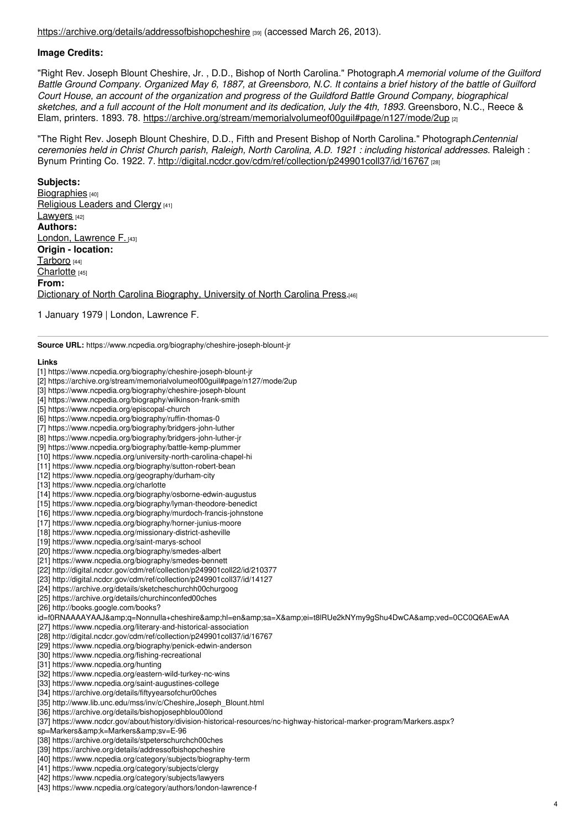<https://archive.org/details/addressofbishopcheshire> [39] (accessed March 26, 2013).

### **Image Credits:**

"Right Rev. Joseph Blount Cheshire, Jr. , D.D., Bishop of North Carolina." Photograph.*A memorial volume of the Guilford* Battle Ground Company. Organized May 6, 1887, at Greensboro, N.C. It contains a brief history of the battle of Guilford *Court House, an account of the organization and progress of the Guildford Battle Ground Company, biographical* sketches, and a full account of the Holt monument and its dedication. July the 4th, 1893. Greensboro, N.C., Reece & Elam, printers. 1893. 78. <https://archive.org/stream/memorialvolumeof00guil#page/n127/mode/2up> [2]

"The Right Rev. Joseph Blount Cheshire, D.D., Fifth and Present Bishop of North Carolina." Photograph.*Centennial ceremonies held in Christ Church parish, Raleigh, North Carolina, A.D. 1921 : including historical addresses.* Raleigh : Bynum Printing Co. 1922. 7. <http://digital.ncdcr.gov/cdm/ref/collection/p249901coll37/id/16767> [28]

#### **Subjects:**

[Biographies](https://www.ncpedia.org/category/subjects/biography-term) [40] [Religious](https://www.ncpedia.org/category/subjects/clergy) Leaders and Clergy [41] [Lawyers](https://www.ncpedia.org/category/subjects/lawyers) [42] **Authors:** London, [Lawrence](https://www.ncpedia.org/category/authors/london-lawrence-f) F. [43] **Origin - location:** [Tarboro](https://www.ncpedia.org/category/origin-location/coastal-62) [44] [Charlotte](https://www.ncpedia.org/category/origin-location/piedmon-24) [45] **From:** Dictionary of North Carolina [Biography,](https://www.ncpedia.org/category/entry-source/dictionary-no) University of North Carolina Press.[46]

1 January 1979 | London, Lawrence F.

**Source URL:** https://www.ncpedia.org/biography/cheshire-joseph-blount-jr

#### **Links**

- [1] https://www.ncpedia.org/biography/cheshire-joseph-blount-jr [2] https://archive.org/stream/memorialvolumeof00guil#page/n127/mode/2up [3] https://www.ncpedia.org/biography/cheshire-joseph-blount [4] https://www.ncpedia.org/biography/wilkinson-frank-smith [5] https://www.ncpedia.org/episcopal-church [6] https://www.ncpedia.org/biography/ruffin-thomas-0 [7] https://www.ncpedia.org/biography/bridgers-john-luther [8] https://www.ncpedia.org/biography/bridgers-john-luther-jr [9] https://www.ncpedia.org/biography/battle-kemp-plummer [10] https://www.ncpedia.org/university-north-carolina-chapel-hi [11] https://www.ncpedia.org/biography/sutton-robert-bean [12] https://www.ncpedia.org/geography/durham-city [13] https://www.ncpedia.org/charlotte [14] https://www.ncpedia.org/biography/osborne-edwin-augustus [15] https://www.ncpedia.org/biography/lyman-theodore-benedict [16] https://www.ncpedia.org/biography/murdoch-francis-johnstone [17] https://www.ncpedia.org/biography/horner-junius-moore [18] https://www.ncpedia.org/missionary-district-asheville [19] https://www.ncpedia.org/saint-marys-school [20] https://www.ncpedia.org/biography/smedes-albert [21] https://www.ncpedia.org/biography/smedes-bennett [22] http://digital.ncdcr.gov/cdm/ref/collection/p249901coll22/id/210377 [23] http://digital.ncdcr.gov/cdm/ref/collection/p249901coll37/id/14127 [24] https://archive.org/details/sketcheschurchh00churgoog [25] https://archive.org/details/churchinconfed00ches [26] http://books.google.com/books? id=f0RNAAAAYAAJ&q=Nonnulla+cheshire&hl=en&sa=X&ei=t8lRUe2kNYmy9gShu4DwCA&ved=0CC0Q6AEwAA [27] https://www.ncpedia.org/literary-and-historical-association [28] http://digital.ncdcr.gov/cdm/ref/collection/p249901coll37/id/16767 [29] https://www.ncpedia.org/biography/penick-edwin-anderson [30] https://www.ncpedia.org/fishing-recreational [31] https://www.ncpedia.org/hunting [32] https://www.ncpedia.org/eastern-wild-turkey-nc-wins [33] https://www.ncpedia.org/saint-augustines-college [34] https://archive.org/details/fiftyyearsofchur00ches [35] http://www.lib.unc.edu/mss/inv/c/Cheshire,Joseph\_Blount.html [36] https://archive.org/details/bishopjosephblou00lond [37] https://www.ncdcr.gov/about/history/division-historical-resources/nc-highway-historical-marker-program/Markers.aspx? sp=Markers&k=Markers&sv=E-96 [38] https://archive.org/details/stpeterschurchch00ches [39] https://archive.org/details/addressofbishopcheshire [40] https://www.ncpedia.org/category/subjects/biography-term
- [41] https://www.ncpedia.org/category/subjects/clergy
- [42] https://www.ncpedia.org/category/subjects/lawyers
- [43] https://www.ncpedia.org/category/authors/london-lawrence-f